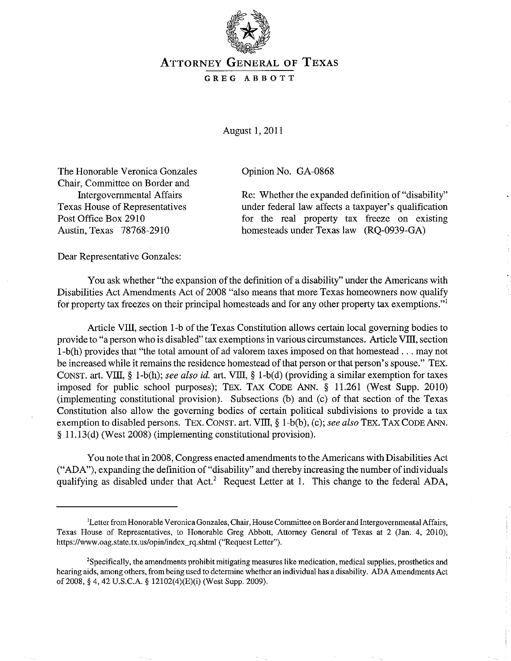

## ATTORNEY GENERAL OF TEXAS

## GREG ABBOTT

August 1,2011

The Honorable Veronica Gonzales Chair, Committee on Border and Intergovernmental Affairs Texas House of Representatives Post Office Box 2910 Austin, Texas 78768-2910

Opinion No. GA-0868

Re: Whether the expanded definition of "disability" under federal law affects a taxpayer's qualification for the real property tax freeze on existing homesteads under Texas law (RQ-0939-GA)

Dear Representative Gonzales:

You ask whether "the expansion of the definition of a disability" under the Americans with Disabilities Act Amendments Act of 2008 "also means that more Texas homeowners now qualify for property tax freezes on their principal homesteads and for any other property tax exemptions."!

Article VIII, section I-b of the Texas Constitution allows certain local governing bodies to provide to "a person who is disabled" tax exemptions in various circumstances. Article VIII, section I-b(h) provides that "the total amount of ad valorem taxes imposed on that homestead ... may not be increased while it remains the residence homestead of that person or that person's spouse." TEX. CONST. art. VIII, § l-b(h); *see also id.* art. VIII, § I-b(d) (providing a similar exemption for taxes imposed for public school purposes); TEX. TAX CODE ANN. § 11.261 (West Supp. 2010) (implementing constitutional provision). Subsections (b) and (c) of that section of the Texas Constitution also allow the governing bodies of certain political subdivisions to provide a tax exemption to disabled persons. TEX. CONST. art. VIII, § l-b(b), (c); *see also* TEX. TAX CODE ANN. § 11.13(d) (West 2008) (implementing constitutional provision).

You note that in 2008, Congress enacted amendments to the Americans with Disabilities Act ("ADA"), expanding the definition of "disability" and thereby increasing the number of individuals qualifying as disabled under that  $Act<sup>2</sup>$  Request Letter at 1. This change to the federal ADA,

<sup>&#</sup>x27;Letter from Honorable Veronica Gonzales, Chair, House Committee on Border and Intergovernmental Affairs, Texas House of Representatives, to Honorable Greg Abbott, Attorney General of Texas at 2 (Jan. 4, 20lO), https://www.oag.state.tx.us/opin/index\_rq.shtml ("Request Letter").

<sup>&</sup>lt;sup>2</sup>Specifically, the amendments prohibit mitigating measures like medication, medical supplies, prosthetics and hearing aids, among others, from being used to determine whether an individual has a disability. ADA Amendments Act of 2008, § 4, 42 U.S.C.A. § 12lO2(4)(E)(i) (West Supp. 2009).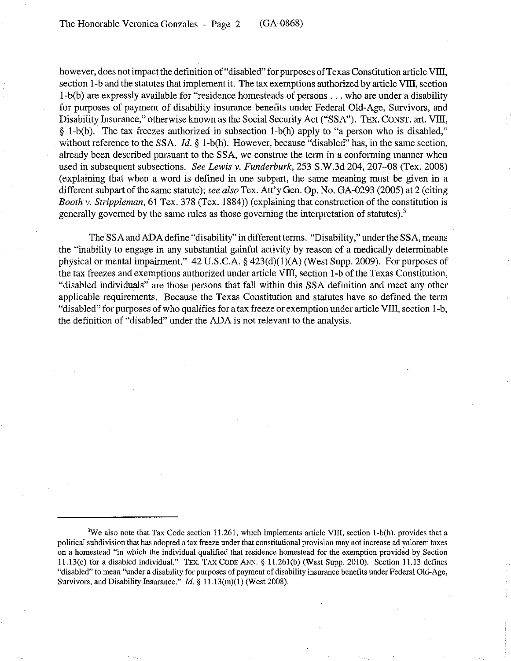however, does not impact the definition of "disabled" for purposes of Texas Constitution article VIII, section 1-b and the statutes that implement it. The tax exemptions authorized by article VIII, section I-b(b) are expressly available for "residence homesteads of persons ... who are under a disability for purposes of payment of disability insurance benefits under Federal Old-Age, Survivors, and Disability Insurance," otherwise known as the Social Security Act ("SSA"). TEX. CONST. art. VIII, § I-b(b). The tax freezes authorized in subsection I-b(h) apply to "a person who is disabled," without reference to the SSA.  $Id. \S$  1-b(h). However, because "disabled" has, in the same section. already been described pursuant to the SSA, we construe the term in a conforming manner when used in subsequent subsections. *See Lewis v. Funderburk,* 253 S.W.3d 204,207-08 (Tex. 2008) (explaining that when a word is defined in one subpart, the same meaning must be given in a different subpart of the same statute); *see also* Tex. Att'y Gen. Op. No. GA-0293 (2005) at 2 (citing *Booth v. Strippleman,* 61 Tex. 378 (Tex. 1884)) (explaining that construction of the constitution is generally governed by the same rules as those governing the interpretation of statutes).<sup>3</sup>

TheSSA and ADA define "disability" in different terms. "Disability," under the SSA, means the "inability to engage in any substantial gainful activity by reason of a medically determinable physical or mental impairment." 42 *V.S.C.A.* § 423(d)(l)(A) (West Supp. 2009). For purposes of the tax freezes and exemptions authorized under article VIII, section 1-b of the Texas Constitution, "disabled individuals" are those persons that fall within this SSA definition and meet any other applicable requirements. Because the Texas Constitution and statutes have so defined the term "disabled" for purposes of who qualifies for a tax freeze or exemption under article VIII, section 1-b, the definition of "disabled" under the ADA is not relevant to the analysis.

<sup>&</sup>lt;sup>3</sup>We also note that Tax Code section 11.261, which implements article VIII, section 1-b(h), provides that a **political subdivision that has adopted a tax freeze under that constitutional provision may not increase ad valorem taxes**  on a homestead "in which the individual qualified that residence homestead for the exemption provided by Section l1.13(c) for a disabled individual." TEX. TAX CODE ANN. § lI.26l(b) (West Supp. 2010). Section 11.13 defines "disabled" to mean "under a disability for purposes of payment of disability insurance benefits under Federal Old-Age, Survivors, and Disability Insurance."  $Id. \S 11.13(m)(1)$  (West 2008).